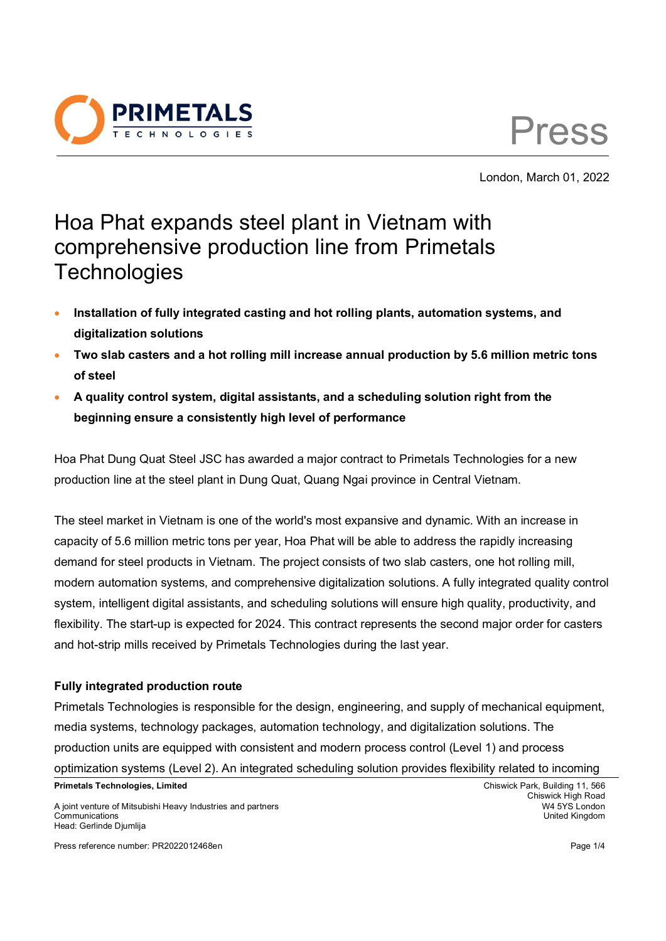



London, March 01, 2022

# Hoa Phat expands steel plant in Vietnam with comprehensive production line from Primetals **Technologies**

- **Installation of fully integrated casting and hot rolling plants, automation systems, and digitalization solutions**
- **Two slab casters and a hot rolling mill increase annual production by 5.6 million metric tons of steel**
- **A quality control system, digital assistants, and a scheduling solution right from the beginning ensure a consistently high level of performance**

Hoa Phat Dung Quat Steel JSC has awarded a major contract to Primetals Technologies for a new production line at the steel plant in Dung Quat, Quang Ngai province in Central Vietnam.

The steel market in Vietnam is one of the world's most expansive and dynamic. With an increase in capacity of 5.6 million metric tons per year, Hoa Phat will be able to address the rapidly increasing demand for steel products in Vietnam. The project consists of two slab casters, one hot rolling mill, modern automation systems, and comprehensive digitalization solutions. A fully integrated quality control system, intelligent digital assistants, and scheduling solutions will ensure high quality, productivity, and flexibility. The start-up is expected for 2024. This contract represents the second major order for casters and hot-strip mills received by Primetals Technologies during the last year.

## **Fully integrated production route**

Primetals Technologies is responsible for the design, engineering, and supply of mechanical equipment, media systems, technology packages, automation technology, and digitalization solutions. The production units are equipped with consistent and modern process control (Level 1) and process optimization systems (Level 2). An integrated scheduling solution provides flexibility related to incoming

A joint venture of Mitsubishi Heavy Industries and partners W4 5YS London Communications United Kingdom Head: Gerlinde Djumlija

Press reference number: PR2022012468en Page 1/4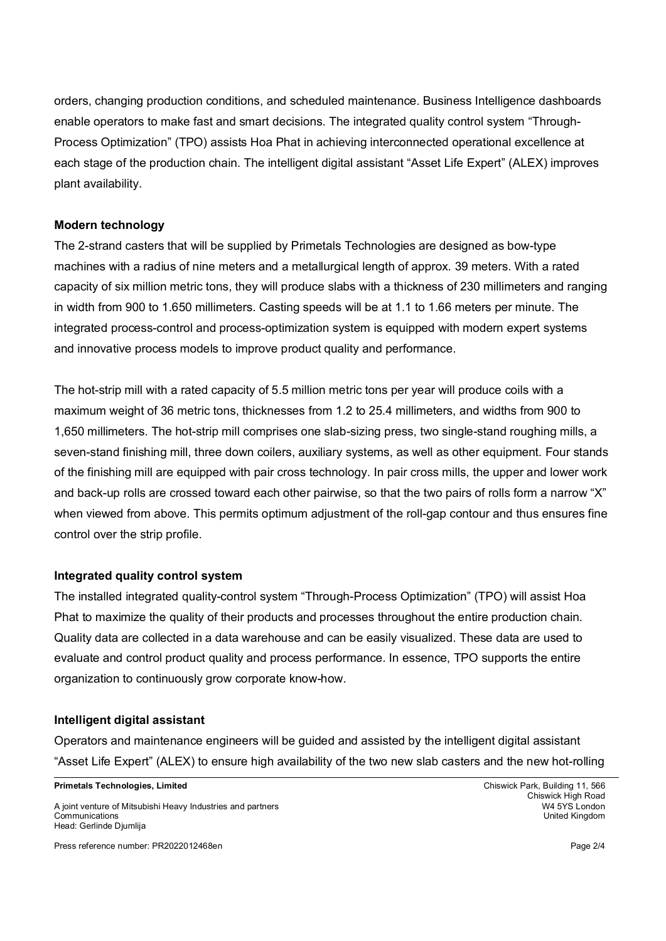orders, changing production conditions, and scheduled maintenance. Business Intelligence dashboards enable operators to make fast and smart decisions. The integrated quality control system "Through-Process Optimization" (TPO) assists Hoa Phat in achieving interconnected operational excellence at each stage of the production chain. The intelligent digital assistant "Asset Life Expert" (ALEX) improves plant availability.

#### **Modern technology**

The 2-strand casters that will be supplied by Primetals Technologies are designed as bow-type machines with a radius of nine meters and a metallurgical length of approx. 39 meters. With a rated capacity of six million metric tons, they will produce slabs with a thickness of 230 millimeters and ranging in width from 900 to 1.650 millimeters. Casting speeds will be at 1.1 to 1.66 meters per minute. The integrated process-control and process-optimization system is equipped with modern expert systems and innovative process models to improve product quality and performance.

The hot-strip mill with a rated capacity of 5.5 million metric tons per year will produce coils with a maximum weight of 36 metric tons, thicknesses from 1.2 to 25.4 millimeters, and widths from 900 to 1,650 millimeters. The hot-strip mill comprises one slab-sizing press, two single-stand roughing mills, a seven-stand finishing mill, three down coilers, auxiliary systems, as well as other equipment. Four stands of the finishing mill are equipped with pair cross technology. In pair cross mills, the upper and lower work and back-up rolls are crossed toward each other pairwise, so that the two pairs of rolls form a narrow "X" when viewed from above. This permits optimum adjustment of the roll-gap contour and thus ensures fine control over the strip profile.

## **Integrated quality control system**

The installed integrated quality-control system "Through-Process Optimization" (TPO) will assist Hoa Phat to maximize the quality of their products and processes throughout the entire production chain. Quality data are collected in a data warehouse and can be easily visualized. These data are used to evaluate and control product quality and process performance. In essence, TPO supports the entire organization to continuously grow corporate know-how.

#### **Intelligent digital assistant**

Operators and maintenance engineers will be guided and assisted by the intelligent digital assistant "Asset Life Expert" (ALEX) to ensure high availability of the two new slab casters and the new hot-rolling

**Primetals Technologies, Limited** Chiswick Park, Building 11, 566

A joint venture of Mitsubishi Heavy Industries and partners W4 5YS London Communications United Kingdom Head: Gerlinde Djumlija

Press reference number: PR2022012468en Page 2/4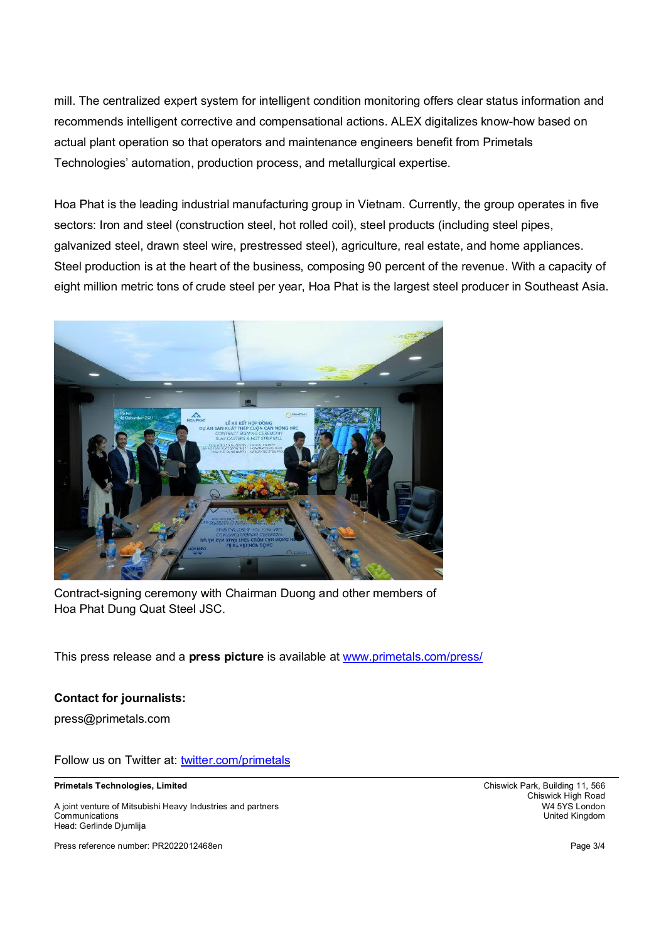mill. The centralized expert system for intelligent condition monitoring offers clear status information and recommends intelligent corrective and compensational actions. ALEX digitalizes know-how based on actual plant operation so that operators and maintenance engineers benefit from Primetals Technologies' automation, production process, and metallurgical expertise.

Hoa Phat is the leading industrial manufacturing group in Vietnam. Currently, the group operates in five sectors: Iron and steel (construction steel, hot rolled coil), steel products (including steel pipes, galvanized steel, drawn steel wire, prestressed steel), agriculture, real estate, and home appliances. Steel production is at the heart of the business, composing 90 percent of the revenue. With a capacity of eight million metric tons of crude steel per year, Hoa Phat is the largest steel producer in Southeast Asia.



Contract-signing ceremony with Chairman Duong and other members of Hoa Phat Dung Quat Steel JSC.

This press release and a **press picture** is available at www.primetals.com/press/

## **Contact for journalists:**

press@primetals.com

Follow us on Twitter at: twitter.com/primetals

**Primetals Technologies, Limited** Chiswick Park, Building 11, 566

A joint venture of Mitsubishi Heavy Industries and partners Communications United Kingdom Head: Gerlinde Djumlija

Press reference number: PR2022012468en Page 3/4

Chiswick High Road<br>W4 5YS London